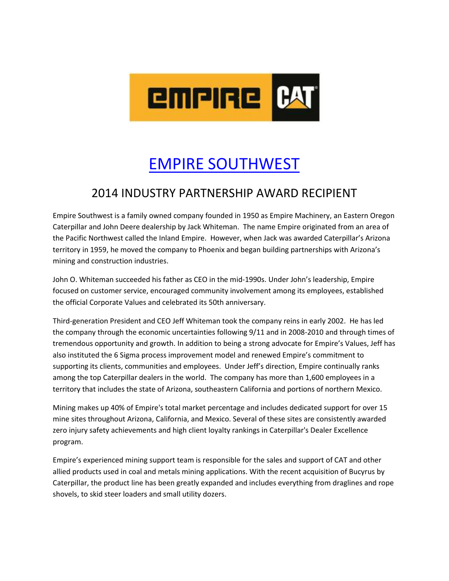

## [EMPIRE SOUTHWEST](https://www.youtube.com/watch?v=E3Imp-ONlA4)

## 2014 INDUSTRY PARTNERSHIP AWARD RECIPIENT

Empire Southwest is a family owned company founded in 1950 as Empire Machinery, an Eastern Oregon Caterpillar and John Deere dealership by Jack Whiteman. The name Empire originated from an area of the Pacific Northwest called the Inland Empire. However, when Jack was awarded Caterpillar's Arizona territory in 1959, he moved the company to Phoenix and began building partnerships with Arizona's mining and construction industries.

John O. Whiteman succeeded his father as CEO in the mid-1990s. Under John's leadership, Empire focused on customer service, encouraged community involvement among its employees, established the official Corporate Values and celebrated its 50th anniversary.

Third-generation President and CEO Jeff Whiteman took the company reins in early 2002. He has led the company through the economic uncertainties following 9/11 and in 2008-2010 and through times of tremendous opportunity and growth. In addition to being a strong advocate for Empire's Values, Jeff has also instituted the 6 Sigma process improvement model and renewed Empire's commitment to supporting its clients, communities and employees. Under Jeff's direction, Empire continually ranks among the top Caterpillar dealers in the world. The company has more than 1,600 employees in a territory that includes the state of Arizona, southeastern California and portions of northern Mexico.

Mining makes up 40% of Empire's total market percentage and includes dedicated support for over 15 mine sites throughout Arizona, California, and Mexico. Several of these sites are consistently awarded zero injury safety achievements and high client loyalty rankings in Caterpillar's Dealer Excellence program.

Empire's experienced mining support team is responsible for the sales and support of CAT and other allied products used in coal and metals mining applications. With the recent acquisition of Bucyrus by Caterpillar, the product line has been greatly expanded and includes everything from draglines and rope shovels, to skid steer loaders and small utility dozers.